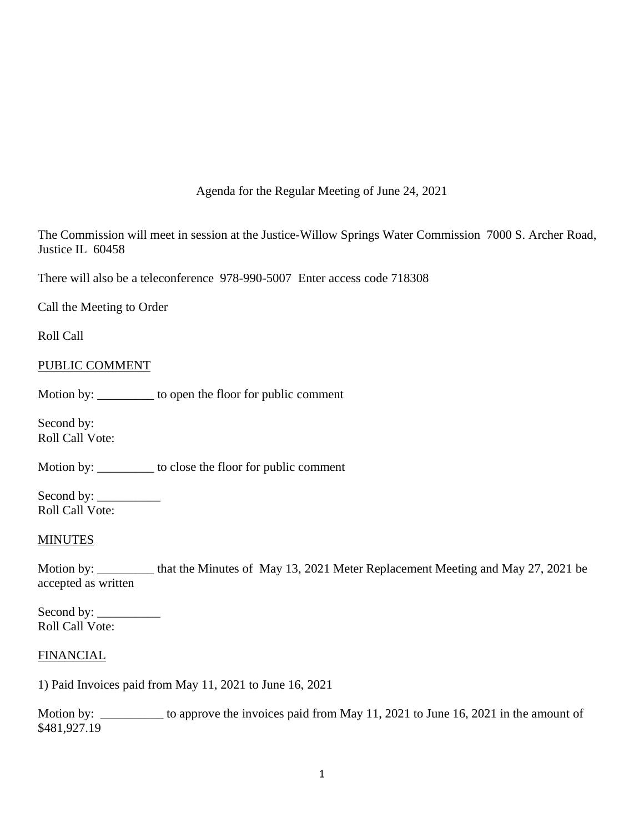Agenda for the Regular Meeting of June 24, 2021

The Commission will meet in session at the Justice-Willow Springs Water Commission 7000 S. Archer Road, Justice IL 60458

There will also be a teleconference 978-990-5007 Enter access code 718308

Call the Meeting to Order

Roll Call

### PUBLIC COMMENT

Motion by: \_\_\_\_\_\_\_\_\_ to open the floor for public comment

Second by: Roll Call Vote:

Motion by: \_\_\_\_\_\_\_\_\_ to close the floor for public comment

Second by: \_\_\_\_\_\_\_\_\_\_ Roll Call Vote:

### **MINUTES**

Motion by: \_\_\_\_\_\_\_\_\_ that the Minutes of May 13, 2021 Meter Replacement Meeting and May 27, 2021 be accepted as written

Second by: \_\_\_\_\_\_\_\_\_\_ Roll Call Vote:

#### FINANCIAL

1) Paid Invoices paid from May 11, 2021 to June 16, 2021

Motion by: \_\_\_\_\_\_\_\_\_\_ to approve the invoices paid from May 11, 2021 to June 16, 2021 in the amount of \$481,927.19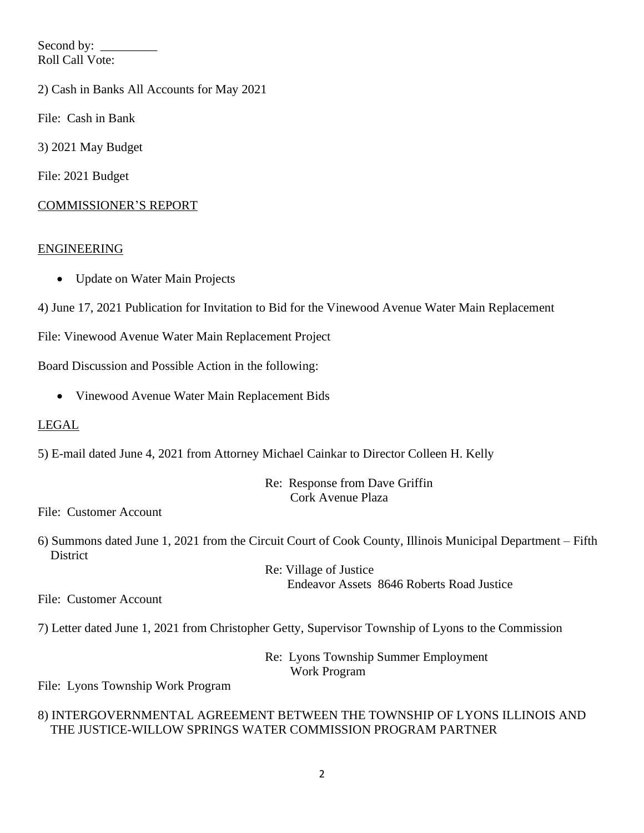Second by: \_\_\_\_\_\_\_\_\_ Roll Call Vote:

2) Cash in Banks All Accounts for May 2021

File: Cash in Bank

3) 2021 May Budget

File: 2021 Budget

### COMMISSIONER'S REPORT

### ENGINEERING

• Update on Water Main Projects

4) June 17, 2021 Publication for Invitation to Bid for the Vinewood Avenue Water Main Replacement

File: Vinewood Avenue Water Main Replacement Project

Board Discussion and Possible Action in the following:

• Vinewood Avenue Water Main Replacement Bids

### LEGAL

5) E-mail dated June 4, 2021 from Attorney Michael Cainkar to Director Colleen H. Kelly

Re: Response from Dave Griffin Cork Avenue Plaza

File: Customer Account

6) Summons dated June 1, 2021 from the Circuit Court of Cook County, Illinois Municipal Department – Fifth **District** 

> Re: Village of Justice Endeavor Assets 8646 Roberts Road Justice

File: Customer Account

7) Letter dated June 1, 2021 from Christopher Getty, Supervisor Township of Lyons to the Commission

Re: Lyons Township Summer Employment Work Program

File: Lyons Township Work Program

### 8) INTERGOVERNMENTAL AGREEMENT BETWEEN THE TOWNSHIP OF LYONS ILLINOIS AND THE JUSTICE-WILLOW SPRINGS WATER COMMISSION PROGRAM PARTNER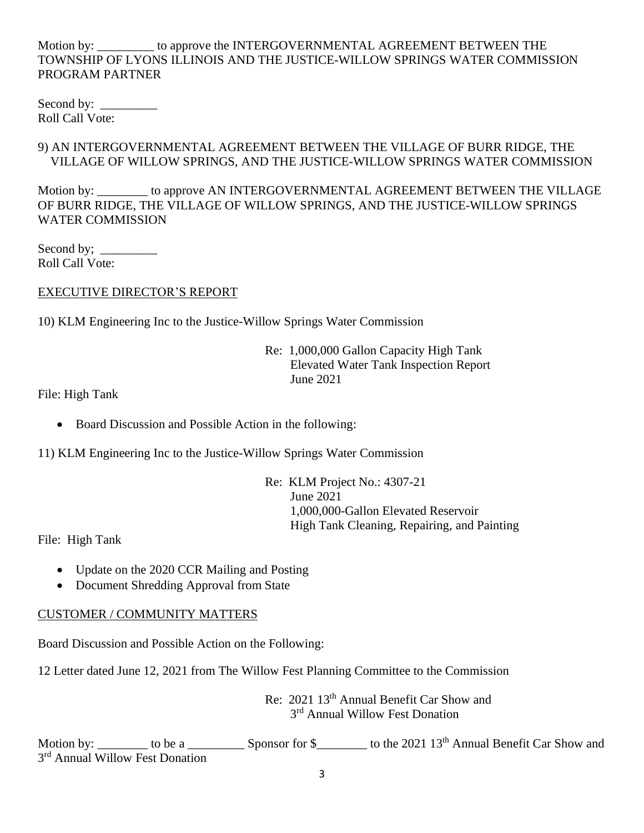### Motion by: \_\_\_\_\_\_\_\_\_ to approve the INTERGOVERNMENTAL AGREEMENT BETWEEN THE TOWNSHIP OF LYONS ILLINOIS AND THE JUSTICE-WILLOW SPRINGS WATER COMMISSION PROGRAM PARTNER

Second by: Roll Call Vote:

## 9) AN INTERGOVERNMENTAL AGREEMENT BETWEEN THE VILLAGE OF BURR RIDGE, THE VILLAGE OF WILLOW SPRINGS, AND THE JUSTICE-WILLOW SPRINGS WATER COMMISSION

Motion by: to approve AN INTERGOVERNMENTAL AGREEMENT BETWEEN THE VILLAGE OF BURR RIDGE, THE VILLAGE OF WILLOW SPRINGS, AND THE JUSTICE-WILLOW SPRINGS WATER COMMISSION

Second by;  $\overline{\phantom{a}}$ Roll Call Vote:

### EXECUTIVE DIRECTOR'S REPORT

10) KLM Engineering Inc to the Justice-Willow Springs Water Commission

Re: 1,000,000 Gallon Capacity High Tank Elevated Water Tank Inspection Report June 2021

File: High Tank

- Board Discussion and Possible Action in the following:
- 11) KLM Engineering Inc to the Justice-Willow Springs Water Commission

Re: KLM Project No.: 4307-21 June 2021 1,000,000-Gallon Elevated Reservoir High Tank Cleaning, Repairing, and Painting

File: High Tank

- Update on the 2020 CCR Mailing and Posting
- Document Shredding Approval from State

# CUSTOMER / COMMUNITY MATTERS

Board Discussion and Possible Action on the Following:

12 Letter dated June 12, 2021 from The Willow Fest Planning Committee to the Commission

Re: 2021 13th Annual Benefit Car Show and 3<sup>rd</sup> Annual Willow Fest Donation

Motion by: \_\_\_\_\_\_\_\_ to be a \_\_\_\_\_\_\_\_\_\_\_\_ Sponsor for \$\_\_\_\_\_\_\_\_\_ to the 2021 13<sup>th</sup> Annual Benefit Car Show and 3<sup>rd</sup> Annual Willow Fest Donation